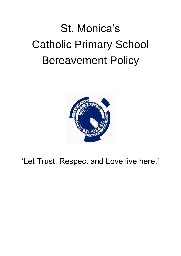# St. Monica's Catholic Primary School Bereavement Policy



# 'Let Trust, Respect and Love live here.'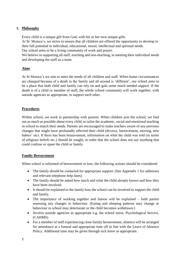# **1. Philosophy**

Every child is a unique gift from God, with his or her own unique gifts.

At St. Monica's, we strive to ensure that all children are offered the opportunity to develop to their full potential in individual, educational, moral, intellectual and spiritual needs.

Our school aims to be a living community of work and prayer.

We believe in supporting all staff, teaching and non-teaching, in meeting their individual needs and developing the staff as a team.

# **Aims**

At St Monica's we aim to meet the needs of all children and staff. When home circumstances are changed because of a death in the family and all around is 'different', our school aims to be a place that both child and family can rely on and gain some much needed support. If the death is of a child or member of staff, the whole school community will work together; with outside agencies as appropriate, to support each other.

# **Procedures**

Within school, we work in partnership with parents. When children join the school, we find out as much as possible about every child, to tailor the academic, social and emotional teaching in school to match their needs. Parents are encouraged to make teachers aware of any previous changes that might have profoundly affected their child (divorce, bereavement, moving, new babies' etc). If there has been bereavement, information on what the child was told (in terms of religious beliefs etc.) should be sought, in order that the school does not say anything that could confuse or upset the child or family.

# **Family Bereavement**

When school is informed of bereavement or loss, the following actions should be considered:

- The family should be contacted for appropriate support. (See Appendix 1 for addresses and relevant telephone help lines)
- The family should be asked how much and what the child already knows and how they have been involved.
- It should be explained to the family how the school can be involved to support the child and family.
- The importance of working together and liaison will be explained both parties assessing any changes in behaviour. (Eating and sleeping patterns may change or behaviour in school may deteriorate or the child becomes withdrawn.)
- Involve outside agencies as appropriate e.g. the school nurse, Psychological Service, (CAHMS)
- For a member of staff experiencing close family bereavement, absence will be arranged for attendance at a funeral and appropriate time off in line with the Leave of Absence Policy. Additional time may be given through sick leave as appropriate.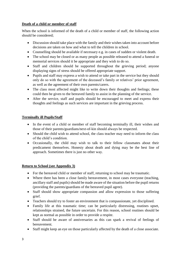# **Death of a child or member of staff**

When the school is informed of the death of a child or member of staff, the following action should be considered;

- Discussion should take place with the family and their wishes taken into account before decisions are taken on how and what to tell the children in school.
- Counselling should be available if necessary e.g. in cases of sudden or violent death.
- The school may be closed or as many people as possible released to attend a funeral or memorial services should it be appropriate and they wish to do so.
- Staff and children should be supported throughout the grieving period; anyone displaying signs of stress should be offered appropriate support.
- Pupils and staff may express a wish to attend or take part in the service but they should only do so with the agreement of the deceased's family or relatives' prior agreement, as well as the agreement of their own parents/carers.
- The class most affected might like to write down their thoughts and feelings; these could then be given to the bereaved family to assist in the planning of the service.
- After the service, staff and pupils should be encouraged to meet and express their thoughts and feelings as such services are important in the grieving process.

# **Terminally ill Pupils/Staff**

- In the event of a child or member of staff becoming terminally ill, their wishes and those of their parents/guardians/next-of-kin should always be respected.
- Should the child wish to attend school, the class teacher may need to inform the class of the child's condition.
- Occasionally, the child may wish to talk to their fellow classmates about their predicament themselves. Honesty about death and dying may be the best line of approach. Sometimes there is just no other way.

#### **Return to School (see Appendix 3)**

- For the bereaved child or member of staff, returning to school may be traumatic.
- Where there has been a close family bereavement, in most cases everyone (teaching, ancillary staff and pupils) should be made aware of the situation before the pupil returns (providing the parents/guardians of the bereaved pupil agree).
- Staff should show appropriate compassion and allow expression to those suffering grief.
- Teachers should try to foster an environment that is compassionate, yet disciplined.
- Family life at this traumatic time; can be particularly distressing, routines upset, relationships strained, the future uncertain. For this reason, school routines should be kept as normal as possible in order to provide a respite.
- Staff should be aware of anniversaries as this can spark a revival of feelings of bereavement.
- Staff might keep an eye on those particularly affected by the death of a close associate.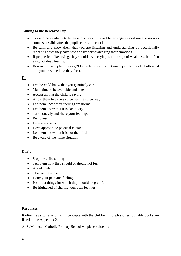## **Talking to the Bereaved Pupil**

- Try and be available to listen and support if possible, arrange a one-to-one session as soon as possible after the pupil returns to school
- Be calm and show them that you are listening and understanding by occasionally repeating what they have said and by acknowledging their emotions.
- $\bullet$  If people feel like crying, they should cry crying is not a sign of weakness, but often a sign of deep feeling.
- Beware of using platitudes eg "I know how you feel", (young people may feel offended that you presume how they feel).

## **Do**

- Let the child know that you genuinely care
- Make time to be available and listen
- Accept all that the child is saying
- Allow them to express their feelings their way
- Let them know their feelings are normal
- Let them know that it is OK to cry
- Talk honestly and share your feelings
- Be honest
- Have eye contact
- Have appropriate physical contact
- Let them know that it is not their fault
- Be aware of the home situation

# **Don't**

- $\bullet$  Stop the child talking
- Tell them how they should or should not feel
- Avoid contact
- Change the subject
- Deny your pain and feelings
- Point out things for which they should be grateful
- Be frightened of sharing your own feelings

#### **Resources**

It often helps to raise difficult concepts with the children through stories. Suitable books are listed in the Appendix 2.

At St Monica's Catholic Primary School we place value on: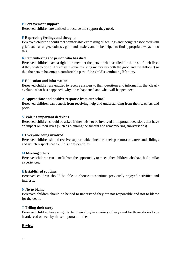#### B **Bereavement support**

Bereaved children are entitled to receive the support they need.

#### E **Expressing feelings and thoughts**

Bereaved children should feel comfortable expressing all feelings and thoughts associated with grief, such as anger, sadness, guilt and anxiety and to be helped to find appropriate ways to do this.

#### R **Remembering the person who has died**

Bereaved children have a right to remember the person who has died for the rest of their lives if they wish to do so. This may involve re-living memories (both the good and the difficult) so that the person becomes a comfortable part of the child's continuing life story.

#### E **Education and information**

Bereaved children are entitled to receive answers to their questions and information that clearly explains what has happened, why it has happened and what will happen next.

#### A **Appropriate and positive response from our school**

Bereaved children can benefit from receiving help and understanding from their teachers and peers.

#### V **Voicing important decisions**

Bereaved children should be asked if they wish to be involved in important decisions that have an impact on their lives (such as planning the funeral and remembering anniversaries).

#### E **Everyone being involved**

Bereaved children should receive support which includes their parent(s) or carers and siblings and which respects each child's confidentiality.

#### M **Meeting others**

Bereaved children can benefit from the opportunity to meet other children who have had similar experiences.

#### E **Established routines**

Bereaved children should be able to choose to continue previously enjoyed activities and interests.

#### N **No to blame**

Bereaved children should be helped to understand they are not responsible and not to blame for the death.

#### T **Telling their story**

Bereaved children have a right to tell their story in a variety of ways and for those stories to be heard, read or seen by those important to them.

#### **Review**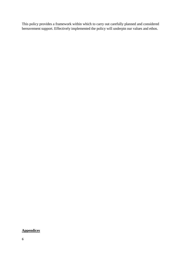This policy provides a framework within which to carry out carefully planned and considered bereavement support. Effectively implemented the policy will underpin our values and ethos.

# **Appendices**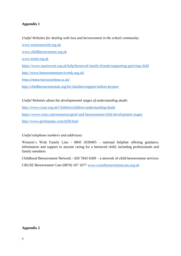# **Appendix 1**

*Useful Websites for dealing with loss and bereavement in the school community:* [www.winstonswish.org.uk](http://www.winstonswish.org.uk/) [www.childbereavement.org.uk](http://www.childbereavement.org.uk/) [www.mind.org.uk](http://www.mind.org.uk/) <https://www.mariecurie.org.uk/help/bereaved-family-friends/supporting-grieving-child> <http://www.bereavementservicemk.org.uk/> <https://www.harrysrainbow.co.uk/> <http://childbereavementuk.org/for-families/support/milton-keynes/>

*Useful Websites about the developmental stages of understanding death:* <http://www.cruse.org.uk/Children/children-understanding-death> <https://www.vitas.com/resources/grief-and-bereavement/child-development-stages> <http://www.griefspeaks.com/id28.html>

# *Useful telephone numbers and addresses:*

Winston's Wish Family Line - 0845 2030405 – national helpline offering guidance, information and support to anyone caring for a bereaved child, including professionals and family members

Childhood Bereavement Network - 020 7843 6309 – a network of child bereavement services CRUSE Bereavement Care (0870) 167 1677 [www.crusebereavementcare.org.uk](http://www.crusebereavementcare.org.uk/)

#### **Appendix 2**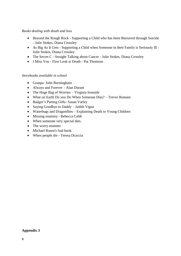#### *Books dealing with death and loss*

- Beyond the Rough Rock Supporting a Child who has been Bereaved through Suicide - Julie Stokes, Diana Crossley
- As Big As It Gets Supporting a Child when Someone in their Family is Seriously Ill Julie Stokes, Diana Crossley
- The Secret C Straight Talking about Cancer Julie Stokes, Diana Crossley
- I Miss You First Look at Death Pat Thomson

#### *Storybooks available in school*

- Granpa- John Burningham
- Always and Forever Alan Durant
- The Huge Bag of Worries Virginia Ironside
- What on Earth Do you Do When Someone Dies? Trevor Romain
- Badger's Parting Gifts- Susan Varley
- Saying Goodbye to Daddy Judith Vigna
- Waterbugs and Dragonflies Explaining Death to Young Children
- Missing mummy Rebecca Cobb
- When someone very special dies.
- The worry monster.
- Michael Rosen's Sad book.
- When people die Teresa Dcaccia

#### **Appendix 3**